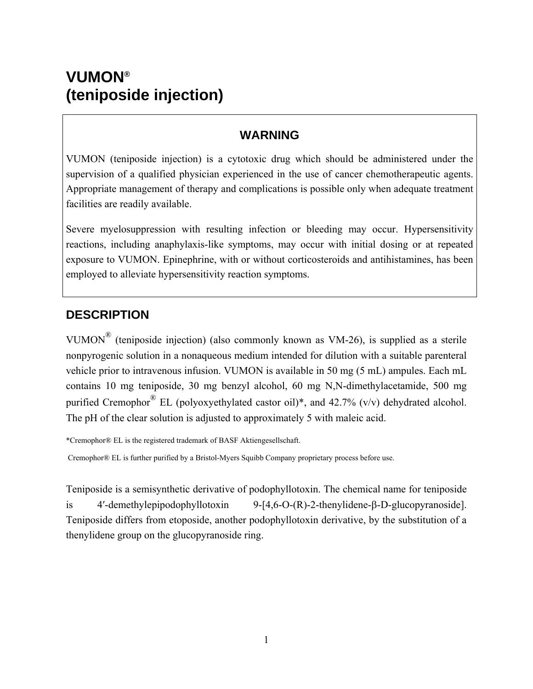# **VUMON® (teniposide injection)**

### **WARNING**

VUMON (teniposide injection) is a cytotoxic drug which should be administered under the supervision of a qualified physician experienced in the use of cancer chemotherapeutic agents. Appropriate management of therapy and complications is possible only when adequate treatment facilities are readily available.

Severe myelosuppression with resulting infection or bleeding may occur. Hypersensitivity reactions, including anaphylaxis-like symptoms, may occur with initial dosing or at repeated exposure to VUMON. Epinephrine, with or without corticosteroids and antihistamines, has been employed to alleviate hypersensitivity reaction symptoms.

### **DESCRIPTION**

VUMON<sup>®</sup> (teniposide injection) (also commonly known as VM-26), is supplied as a sterile nonpyrogenic solution in a nonaqueous medium intended for dilution with a suitable parenteral vehicle prior to intravenous infusion. VUMON is available in 50 mg (5 mL) ampules. Each mL contains 10 mg teniposide, 30 mg benzyl alcohol, 60 mg N,N-dimethylacetamide, 500 mg purified Cremophor<sup>®</sup> EL (polyoxyethylated castor oil)\*, and 42.7% (v/v) dehydrated alcohol. The pH of the clear solution is adjusted to approximately 5 with maleic acid.

\*Cremophor® EL is the registered trademark of BASF Aktiengesellschaft.

Cremophor® EL is further purified by a Bristol-Myers Squibb Company proprietary process before use.

Teniposide is a semisynthetic derivative of podophyllotoxin. The chemical name for teniposide is 4′-demethylepipodophyllotoxin 9-[4,6-O-(R)-2-thenylidene-β-D-glucopyranoside]. Teniposide differs from etoposide, another podophyllotoxin derivative, by the substitution of a thenylidene group on the glucopyranoside ring.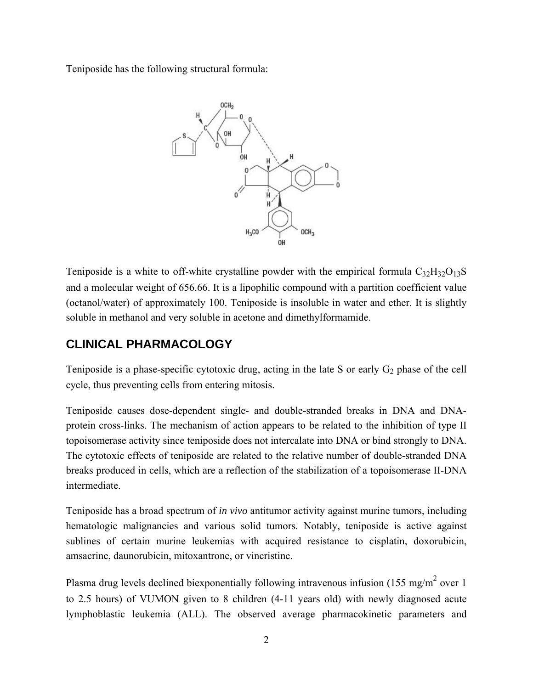Teniposide has the following structural formula:



Teniposide is a white to off-white crystalline powder with the empirical formula  $C_{32}H_{32}O_{13}S$ and a molecular weight of 656.66. It is a lipophilic compound with a partition coefficient value (octanol/water) of approximately 100. Teniposide is insoluble in water and ether. It is slightly soluble in methanol and very soluble in acetone and dimethylformamide.

# **CLINICAL PHARMACOLOGY**

Teniposide is a phase-specific cytotoxic drug, acting in the late S or early  $G_2$  phase of the cell cycle, thus preventing cells from entering mitosis.

Teniposide causes dose-dependent single- and double-stranded breaks in DNA and DNAprotein cross-links. The mechanism of action appears to be related to the inhibition of type II topoisomerase activity since teniposide does not intercalate into DNA or bind strongly to DNA. The cytotoxic effects of teniposide are related to the relative number of double-stranded DNA breaks produced in cells, which are a reflection of the stabilization of a topoisomerase II-DNA intermediate.

Teniposide has a broad spectrum of *in vivo* antitumor activity against murine tumors, including hematologic malignancies and various solid tumors. Notably, teniposide is active against sublines of certain murine leukemias with acquired resistance to cisplatin, doxorubicin, amsacrine, daunorubicin, mitoxantrone, or vincristine.

Plasma drug levels declined biexponentially following intravenous infusion (155 mg/m<sup>2</sup> over 1 to 2.5 hours) of VUMON given to 8 children (4-11 years old) with newly diagnosed acute lymphoblastic leukemia (ALL). The observed average pharmacokinetic parameters and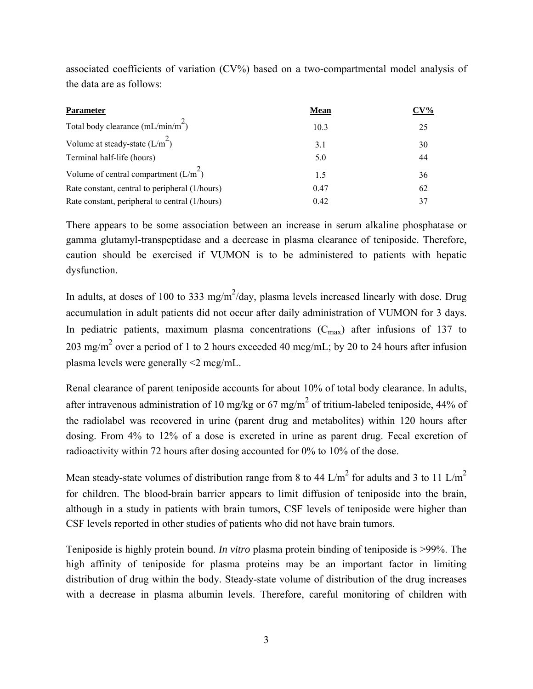associated coefficients of variation (CV%) based on a two-compartmental model analysis of the data are as follows:

| <b>Parameter</b>                               | <b>Mean</b> | $CV\%$ |
|------------------------------------------------|-------------|--------|
| Total body clearance $(mL/min/m2)$             | 10.3        | 25     |
| Volume at steady-state $(L/m^2)$               | 3.1         | 30     |
| Terminal half-life (hours)                     | 5.0         | 44     |
| Volume of central compartment $(L/m^2)$        | 1.5         | 36     |
| Rate constant, central to peripheral (1/hours) | 0.47        | 62     |
| Rate constant, peripheral to central (1/hours) | 0.42        | 37     |

There appears to be some association between an increase in serum alkaline phosphatase or gamma glutamyl-transpeptidase and a decrease in plasma clearance of teniposide. Therefore, caution should be exercised if VUMON is to be administered to patients with hepatic dysfunction.

In adults, at doses of 100 to 333 mg/m<sup>2</sup>/day, plasma levels increased linearly with dose. Drug accumulation in adult patients did not occur after daily administration of VUMON for 3 days. In pediatric patients, maximum plasma concentrations  $(C_{max})$  after infusions of 137 to 203 mg/m<sup>2</sup> over a period of 1 to 2 hours exceeded 40 mcg/mL; by 20 to 24 hours after infusion plasma levels were generally <2 mcg/mL.

Renal clearance of parent teniposide accounts for about 10% of total body clearance. In adults, after intravenous administration of 10 mg/kg or 67 mg/m<sup>2</sup> of tritium-labeled teniposide, 44% of the radiolabel was recovered in urine (parent drug and metabolites) within 120 hours after dosing. From 4% to 12% of a dose is excreted in urine as parent drug. Fecal excretion of radioactivity within 72 hours after dosing accounted for 0% to 10% of the dose.

Mean steady-state volumes of distribution range from 8 to 44 L/m<sup>2</sup> for adults and 3 to 11 L/m<sup>2</sup> for children. The blood-brain barrier appears to limit diffusion of teniposide into the brain, although in a study in patients with brain tumors, CSF levels of teniposide were higher than CSF levels reported in other studies of patients who did not have brain tumors.

Teniposide is highly protein bound. *In vitro* plasma protein binding of teniposide is >99%. The high affinity of teniposide for plasma proteins may be an important factor in limiting distribution of drug within the body. Steady-state volume of distribution of the drug increases with a decrease in plasma albumin levels. Therefore, careful monitoring of children with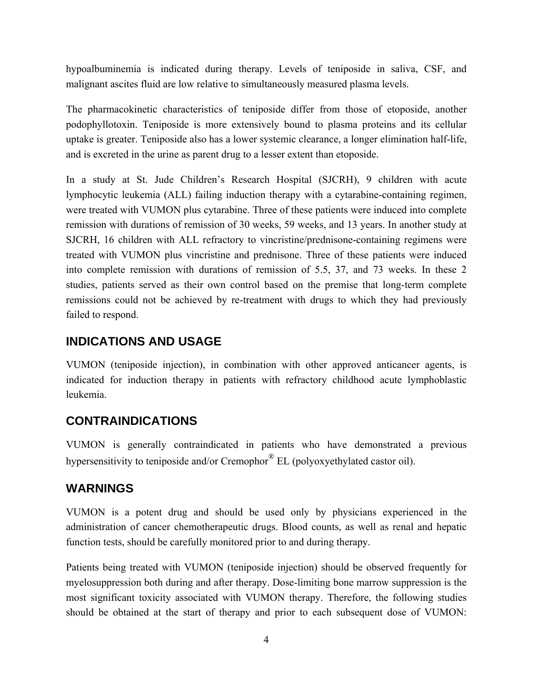hypoalbuminemia is indicated during therapy. Levels of teniposide in saliva, CSF, and malignant ascites fluid are low relative to simultaneously measured plasma levels.

The pharmacokinetic characteristics of teniposide differ from those of etoposide, another podophyllotoxin. Teniposide is more extensively bound to plasma proteins and its cellular uptake is greater. Teniposide also has a lower systemic clearance, a longer elimination half-life, and is excreted in the urine as parent drug to a lesser extent than etoposide.

In a study at St. Jude Children's Research Hospital (SJCRH), 9 children with acute lymphocytic leukemia (ALL) failing induction therapy with a cytarabine-containing regimen, were treated with VUMON plus cytarabine. Three of these patients were induced into complete remission with durations of remission of 30 weeks, 59 weeks, and 13 years. In another study at SJCRH, 16 children with ALL refractory to vincristine/prednisone-containing regimens were treated with VUMON plus vincristine and prednisone. Three of these patients were induced into complete remission with durations of remission of 5.5, 37, and 73 weeks. In these 2 studies, patients served as their own control based on the premise that long-term complete remissions could not be achieved by re-treatment with drugs to which they had previously failed to respond.

#### **INDICATIONS AND USAGE**

VUMON (teniposide injection), in combination with other approved anticancer agents, is indicated for induction therapy in patients with refractory childhood acute lymphoblastic leukemia.

#### **CONTRAINDICATIONS**

VUMON is generally contraindicated in patients who have demonstrated a previous hypersensitivity to teniposide and/or Cremophor<sup>®</sup> EL (polyoxyethylated castor oil).

#### **WARNINGS**

VUMON is a potent drug and should be used only by physicians experienced in the administration of cancer chemotherapeutic drugs. Blood counts, as well as renal and hepatic function tests, should be carefully monitored prior to and during therapy.

Patients being treated with VUMON (teniposide injection) should be observed frequently for myelosuppression both during and after therapy. Dose-limiting bone marrow suppression is the most significant toxicity associated with VUMON therapy. Therefore, the following studies should be obtained at the start of therapy and prior to each subsequent dose of VUMON: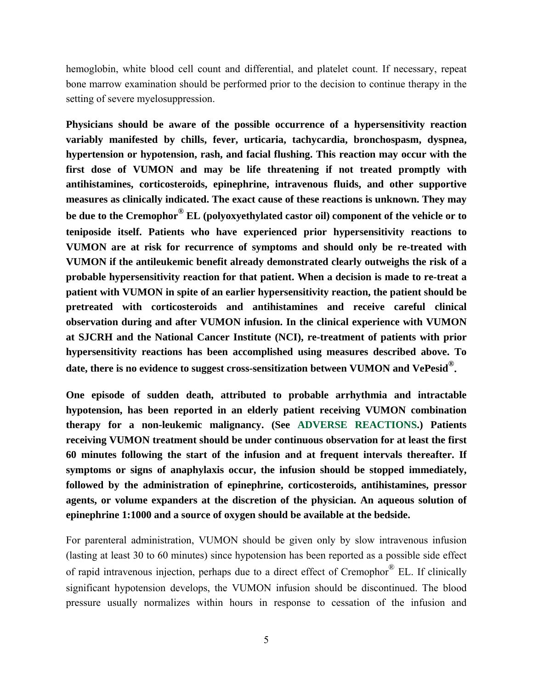hemoglobin, white blood cell count and differential, and platelet count. If necessary, repeat bone marrow examination should be performed prior to the decision to continue therapy in the setting of severe myelosuppression.

**Physicians should be aware of the possible occurrence of a hypersensitivity reaction variably manifested by chills, fever, urticaria, tachycardia, bronchospasm, dyspnea, hypertension or hypotension, rash, and facial flushing. This reaction may occur with the first dose of VUMON and may be life threatening if not treated promptly with antihistamines, corticosteroids, epinephrine, intravenous fluids, and other supportive measures as clinically indicated. The exact cause of these reactions is unknown. They may be due to the Cremophor® EL (polyoxyethylated castor oil) component of the vehicle or to teniposide itself. Patients who have experienced prior hypersensitivity reactions to VUMON are at risk for recurrence of symptoms and should only be re-treated with VUMON if the antileukemic benefit already demonstrated clearly outweighs the risk of a probable hypersensitivity reaction for that patient. When a decision is made to re-treat a patient with VUMON in spite of an earlier hypersensitivity reaction, the patient should be pretreated with corticosteroids and antihistamines and receive careful clinical observation during and after VUMON infusion. In the clinical experience with VUMON at SJCRH and the National Cancer Institute (NCI), re-treatment of patients with prior hypersensitivity reactions has been accomplished using measures described above. To date, there is no evidence to suggest cross-sensitization between VUMON and VePesid®.**

**One episode of sudden death, attributed to probable arrhythmia and intractable hypotension, has been reported in an elderly patient receiving VUMON combination therapy for a non-leukemic malignancy. (See ADVERSE REACTIONS.) Patients receiving VUMON treatment should be under continuous observation for at least the first 60 minutes following the start of the infusion and at frequent intervals thereafter. If symptoms or signs of anaphylaxis occur, the infusion should be stopped immediately, followed by the administration of epinephrine, corticosteroids, antihistamines, pressor agents, or volume expanders at the discretion of the physician. An aqueous solution of epinephrine 1:1000 and a source of oxygen should be available at the bedside.**

For parenteral administration, VUMON should be given only by slow intravenous infusion (lasting at least 30 to 60 minutes) since hypotension has been reported as a possible side effect of rapid intravenous injection, perhaps due to a direct effect of Cremophor® EL. If clinically significant hypotension develops, the VUMON infusion should be discontinued. The blood pressure usually normalizes within hours in response to cessation of the infusion and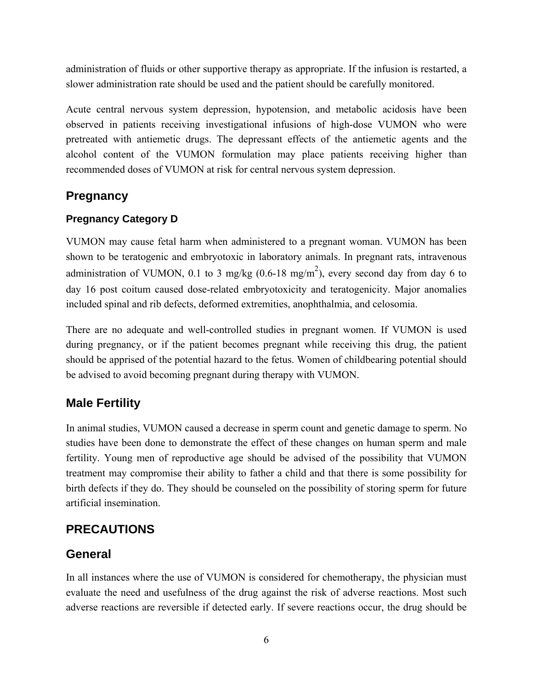administration of fluids or other supportive therapy as appropriate. If the infusion is restarted, a slower administration rate should be used and the patient should be carefully monitored.

Acute central nervous system depression, hypotension, and metabolic acidosis have been observed in patients receiving investigational infusions of high-dose VUMON who were pretreated with antiemetic drugs. The depressant effects of the antiemetic agents and the alcohol content of the VUMON formulation may place patients receiving higher than recommended doses of VUMON at risk for central nervous system depression.

## **Pregnancy**

#### **Pregnancy Category D**

VUMON may cause fetal harm when administered to a pregnant woman. VUMON has been shown to be teratogenic and embryotoxic in laboratory animals. In pregnant rats, intravenous administration of VUMON, 0.1 to 3 mg/kg (0.6-18 mg/m<sup>2</sup>), every second day from day 6 to day 16 post coitum caused dose-related embryotoxicity and teratogenicity. Major anomalies included spinal and rib defects, deformed extremities, anophthalmia, and celosomia.

There are no adequate and well-controlled studies in pregnant women. If VUMON is used during pregnancy, or if the patient becomes pregnant while receiving this drug, the patient should be apprised of the potential hazard to the fetus. Women of childbearing potential should be advised to avoid becoming pregnant during therapy with VUMON.

### **Male Fertility**

In animal studies, VUMON caused a decrease in sperm count and genetic damage to sperm. No studies have been done to demonstrate the effect of these changes on human sperm and male fertility. Young men of reproductive age should be advised of the possibility that VUMON treatment may compromise their ability to father a child and that there is some possibility for birth defects if they do. They should be counseled on the possibility of storing sperm for future artificial insemination.

### **PRECAUTIONS**

### **General**

In all instances where the use of VUMON is considered for chemotherapy, the physician must evaluate the need and usefulness of the drug against the risk of adverse reactions. Most such adverse reactions are reversible if detected early. If severe reactions occur, the drug should be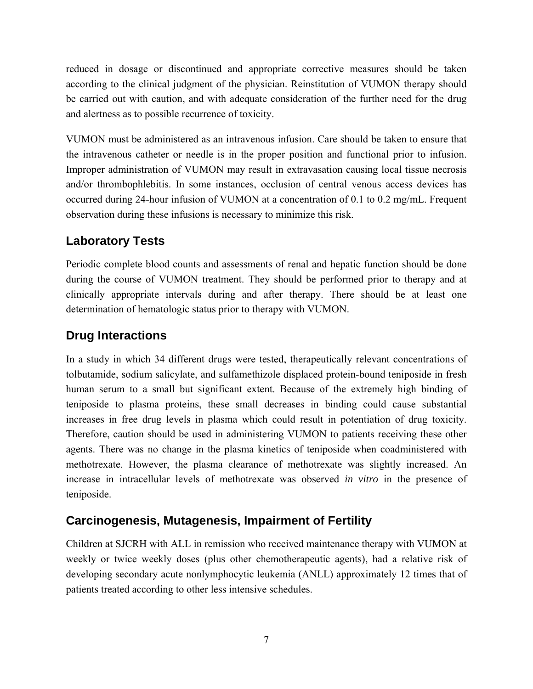reduced in dosage or discontinued and appropriate corrective measures should be taken according to the clinical judgment of the physician. Reinstitution of VUMON therapy should be carried out with caution, and with adequate consideration of the further need for the drug and alertness as to possible recurrence of toxicity.

VUMON must be administered as an intravenous infusion. Care should be taken to ensure that the intravenous catheter or needle is in the proper position and functional prior to infusion. Improper administration of VUMON may result in extravasation causing local tissue necrosis and/or thrombophlebitis. In some instances, occlusion of central venous access devices has occurred during 24-hour infusion of VUMON at a concentration of 0.1 to 0.2 mg/mL. Frequent observation during these infusions is necessary to minimize this risk.

### **Laboratory Tests**

Periodic complete blood counts and assessments of renal and hepatic function should be done during the course of VUMON treatment. They should be performed prior to therapy and at clinically appropriate intervals during and after therapy. There should be at least one determination of hematologic status prior to therapy with VUMON.

### **Drug Interactions**

In a study in which 34 different drugs were tested, therapeutically relevant concentrations of tolbutamide, sodium salicylate, and sulfamethizole displaced protein-bound teniposide in fresh human serum to a small but significant extent. Because of the extremely high binding of teniposide to plasma proteins, these small decreases in binding could cause substantial increases in free drug levels in plasma which could result in potentiation of drug toxicity. Therefore, caution should be used in administering VUMON to patients receiving these other agents. There was no change in the plasma kinetics of teniposide when coadministered with methotrexate. However, the plasma clearance of methotrexate was slightly increased. An increase in intracellular levels of methotrexate was observed *in vitro* in the presence of teniposide.

#### **Carcinogenesis, Mutagenesis, Impairment of Fertility**

Children at SJCRH with ALL in remission who received maintenance therapy with VUMON at weekly or twice weekly doses (plus other chemotherapeutic agents), had a relative risk of developing secondary acute nonlymphocytic leukemia (ANLL) approximately 12 times that of patients treated according to other less intensive schedules.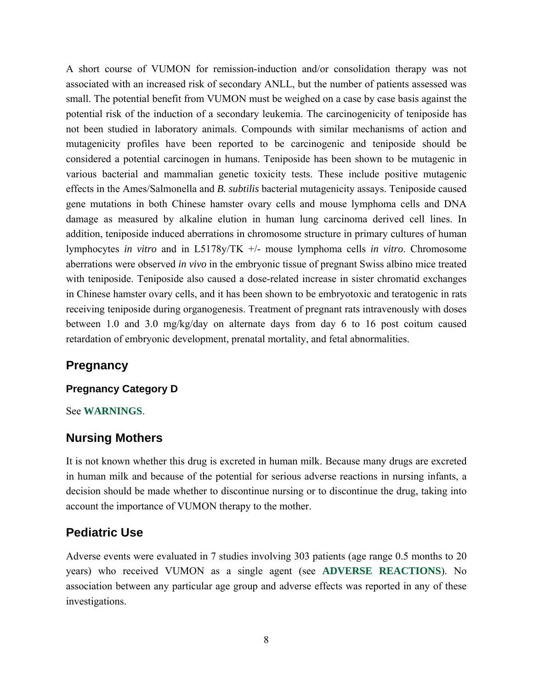A short course of VUMON for remission-induction and/or consolidation therapy was not associated with an increased risk of secondary ANLL, but the number of patients assessed was small. The potential benefit from VUMON must be weighed on a case by case basis against the potential risk of the induction of a secondary leukemia. The carcinogenicity of teniposide has not been studied in laboratory animals. Compounds with similar mechanisms of action and mutagenicity profiles have been reported to be carcinogenic and teniposide should be considered a potential carcinogen in humans. Teniposide has been shown to be mutagenic in various bacterial and mammalian genetic toxicity tests. These include positive mutagenic effects in the Ames/Salmonella and *B. subtilis* bacterial mutagenicity assays. Teniposide caused gene mutations in both Chinese hamster ovary cells and mouse lymphoma cells and DNA damage as measured by alkaline elution in human lung carcinoma derived cell lines. In addition, teniposide induced aberrations in chromosome structure in primary cultures of human lymphocytes *in vitro* and in L5178y/TK +/- mouse lymphoma cells *in vitro*. Chromosome aberrations were observed *in vivo* in the embryonic tissue of pregnant Swiss albino mice treated with teniposide. Teniposide also caused a dose-related increase in sister chromatid exchanges in Chinese hamster ovary cells, and it has been shown to be embryotoxic and teratogenic in rats receiving teniposide during organogenesis. Treatment of pregnant rats intravenously with doses between 1.0 and 3.0 mg/kg/day on alternate days from day 6 to 16 post coitum caused retardation of embryonic development, prenatal mortality, and fetal abnormalities.

#### **Pregnancy**

#### **Pregnancy Category D**

#### See **WARNINGS**.

#### **Nursing Mothers**

It is not known whether this drug is excreted in human milk. Because many drugs are excreted in human milk and because of the potential for serious adverse reactions in nursing infants, a decision should be made whether to discontinue nursing or to discontinue the drug, taking into account the importance of VUMON therapy to the mother.

#### **Pediatric Use**

Adverse events were evaluated in 7 studies involving 303 patients (age range 0.5 months to 20 years) who received VUMON as a single agent (see **ADVERSE REACTIONS**). No association between any particular age group and adverse effects was reported in any of these investigations.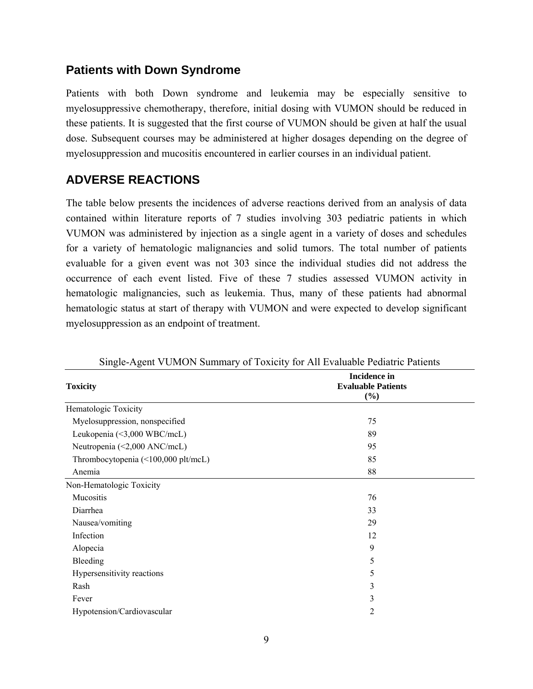#### **Patients with Down Syndrome**

Patients with both Down syndrome and leukemia may be especially sensitive to myelosuppressive chemotherapy, therefore, initial dosing with VUMON should be reduced in these patients. It is suggested that the first course of VUMON should be given at half the usual dose. Subsequent courses may be administered at higher dosages depending on the degree of myelosuppression and mucositis encountered in earlier courses in an individual patient.

### **ADVERSE REACTIONS**

The table below presents the incidences of adverse reactions derived from an analysis of data contained within literature reports of 7 studies involving 303 pediatric patients in which VUMON was administered by injection as a single agent in a variety of doses and schedules for a variety of hematologic malignancies and solid tumors. The total number of patients evaluable for a given event was not 303 since the individual studies did not address the occurrence of each event listed. Five of these 7 studies assessed VUMON activity in hematologic malignancies, such as leukemia. Thus, many of these patients had abnormal hematologic status at start of therapy with VUMON and were expected to develop significant myelosuppression as an endpoint of treatment.

| Dingle Tigent VOMOTVDanmary of Toxietty for Tin Evaluative Feature Fattents |                                                            |  |
|-----------------------------------------------------------------------------|------------------------------------------------------------|--|
| <b>Toxicity</b>                                                             | <b>Incidence</b> in<br><b>Evaluable Patients</b><br>$(\%)$ |  |
| Hematologic Toxicity                                                        |                                                            |  |
| Myelosuppression, nonspecified                                              | 75                                                         |  |
| Leukopenia (<3,000 WBC/mcL)                                                 | 89                                                         |  |
| Neutropenia (<2,000 ANC/mcL)                                                | 95                                                         |  |
| Thrombocytopenia (<100,000 plt/mcL)                                         | 85                                                         |  |
| Anemia                                                                      | 88                                                         |  |
| Non-Hematologic Toxicity                                                    |                                                            |  |
| Mucositis                                                                   | 76                                                         |  |
| Diarrhea                                                                    | 33                                                         |  |
| Nausea/vomiting                                                             | 29                                                         |  |
| Infection                                                                   | 12                                                         |  |
| Alopecia                                                                    | 9                                                          |  |
| Bleeding                                                                    | 5                                                          |  |
| Hypersensitivity reactions                                                  | 5                                                          |  |
| Rash                                                                        | 3                                                          |  |
| Fever                                                                       | 3                                                          |  |
| Hypotension/Cardiovascular                                                  | 2                                                          |  |
|                                                                             |                                                            |  |

Single-Agent VUMON Summary of Toxicity for All Evaluable Pediatric Patients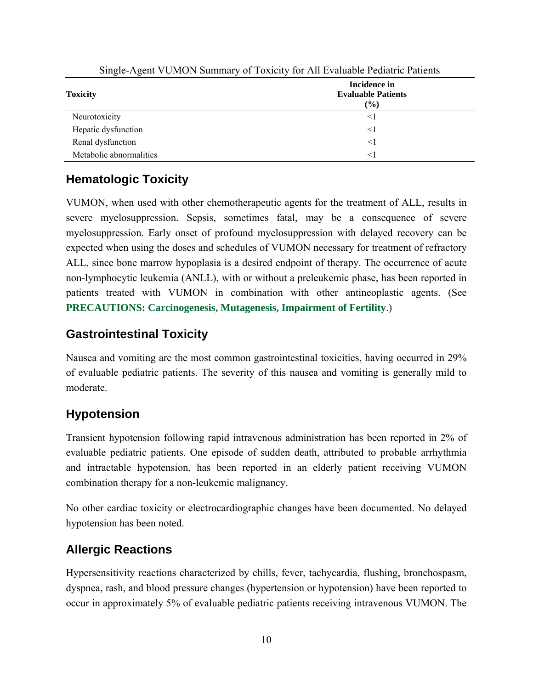| .                       |                                                     |  |
|-------------------------|-----------------------------------------------------|--|
| <b>Toxicity</b>         | Incidence in<br><b>Evaluable Patients</b><br>$(\%)$ |  |
| Neurotoxicity           | $\leq$ ]                                            |  |
| Hepatic dysfunction     | $\leq$ ]                                            |  |
| Renal dysfunction       | $\leq$ ]                                            |  |
| Metabolic abnormalities | $<$ 1                                               |  |

Single-Agent VUMON Summary of Toxicity for All Evaluable Pediatric Patients

## **Hematologic Toxicity**

VUMON, when used with other chemotherapeutic agents for the treatment of ALL, results in severe myelosuppression. Sepsis, sometimes fatal, may be a consequence of severe myelosuppression. Early onset of profound myelosuppression with delayed recovery can be expected when using the doses and schedules of VUMON necessary for treatment of refractory ALL, since bone marrow hypoplasia is a desired endpoint of therapy. The occurrence of acute non-lymphocytic leukemia (ANLL), with or without a preleukemic phase, has been reported in patients treated with VUMON in combination with other antineoplastic agents. (See **PRECAUTIONS: Carcinogenesis, Mutagenesis, Impairment of Fertility**.)

### **Gastrointestinal Toxicity**

Nausea and vomiting are the most common gastrointestinal toxicities, having occurred in 29% of evaluable pediatric patients. The severity of this nausea and vomiting is generally mild to moderate.

### **Hypotension**

Transient hypotension following rapid intravenous administration has been reported in 2% of evaluable pediatric patients. One episode of sudden death, attributed to probable arrhythmia and intractable hypotension, has been reported in an elderly patient receiving VUMON combination therapy for a non-leukemic malignancy.

No other cardiac toxicity or electrocardiographic changes have been documented. No delayed hypotension has been noted.

### **Allergic Reactions**

Hypersensitivity reactions characterized by chills, fever, tachycardia, flushing, bronchospasm, dyspnea, rash, and blood pressure changes (hypertension or hypotension) have been reported to occur in approximately 5% of evaluable pediatric patients receiving intravenous VUMON. The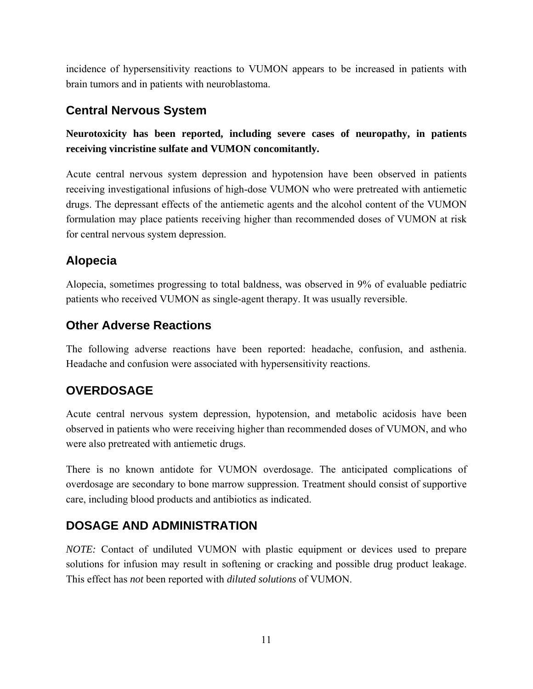incidence of hypersensitivity reactions to VUMON appears to be increased in patients with brain tumors and in patients with neuroblastoma.

### **Central Nervous System**

#### **Neurotoxicity has been reported, including severe cases of neuropathy, in patients receiving vincristine sulfate and VUMON concomitantly.**

Acute central nervous system depression and hypotension have been observed in patients receiving investigational infusions of high-dose VUMON who were pretreated with antiemetic drugs. The depressant effects of the antiemetic agents and the alcohol content of the VUMON formulation may place patients receiving higher than recommended doses of VUMON at risk for central nervous system depression.

## **Alopecia**

Alopecia, sometimes progressing to total baldness, was observed in 9% of evaluable pediatric patients who received VUMON as single-agent therapy. It was usually reversible.

### **Other Adverse Reactions**

The following adverse reactions have been reported: headache, confusion, and asthenia. Headache and confusion were associated with hypersensitivity reactions.

## **OVERDOSAGE**

Acute central nervous system depression, hypotension, and metabolic acidosis have been observed in patients who were receiving higher than recommended doses of VUMON, and who were also pretreated with antiemetic drugs.

There is no known antidote for VUMON overdosage. The anticipated complications of overdosage are secondary to bone marrow suppression. Treatment should consist of supportive care, including blood products and antibiotics as indicated.

## **DOSAGE AND ADMINISTRATION**

*NOTE:* Contact of undiluted VUMON with plastic equipment or devices used to prepare solutions for infusion may result in softening or cracking and possible drug product leakage. This effect has *not* been reported with *diluted solutions* of VUMON.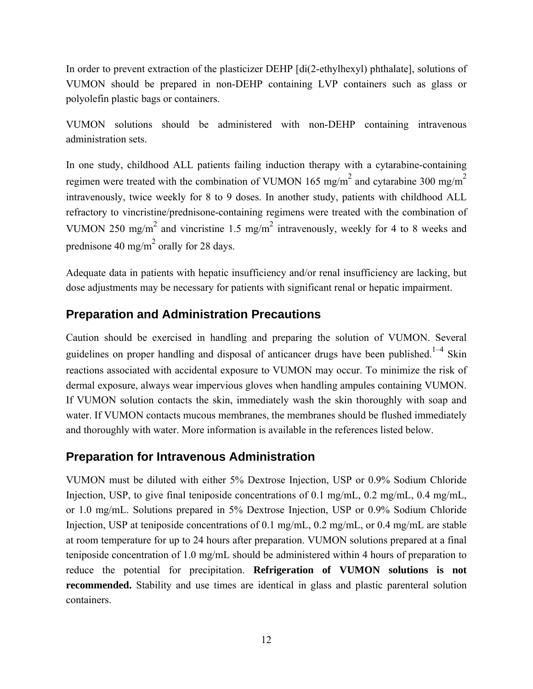In order to prevent extraction of the plasticizer DEHP [di(2-ethylhexyl) phthalate], solutions of VUMON should be prepared in non-DEHP containing LVP containers such as glass or polyolefin plastic bags or containers.

VUMON solutions should be administered with non-DEHP containing intravenous administration sets.

In one study, childhood ALL patients failing induction therapy with a cytarabine-containing regimen were treated with the combination of VUMON 165 mg/m<sup>2</sup> and cytarabine 300 mg/m<sup>2</sup> intravenously, twice weekly for 8 to 9 doses. In another study, patients with childhood ALL refractory to vincristine/prednisone-containing regimens were treated with the combination of VUMON 250 mg/m<sup>2</sup> and vincristine 1.5 mg/m<sup>2</sup> intravenously, weekly for 4 to 8 weeks and prednisone 40 mg/m<sup>2</sup> orally for 28 days.

Adequate data in patients with hepatic insufficiency and/or renal insufficiency are lacking, but dose adjustments may be necessary for patients with significant renal or hepatic impairment.

### **Preparation and Administration Precautions**

Caution should be exercised in handling and preparing the solution of VUMON. Several guidelines on proper handling and disposal of anticancer drugs have been published.<sup>1-4</sup> Skin reactions associated with accidental exposure to VUMON may occur. To minimize the risk of dermal exposure, always wear impervious gloves when handling ampules containing VUMON. If VUMON solution contacts the skin, immediately wash the skin thoroughly with soap and water. If VUMON contacts mucous membranes, the membranes should be flushed immediately and thoroughly with water. More information is available in the references listed below.

#### **Preparation for Intravenous Administration**

VUMON must be diluted with either 5% Dextrose Injection, USP or 0.9% Sodium Chloride Injection, USP, to give final teniposide concentrations of 0.1 mg/mL, 0.2 mg/mL, 0.4 mg/mL, or 1.0 mg/mL. Solutions prepared in 5% Dextrose Injection, USP or 0.9% Sodium Chloride Injection, USP at teniposide concentrations of 0.1 mg/mL, 0.2 mg/mL, or 0.4 mg/mL are stable at room temperature for up to 24 hours after preparation. VUMON solutions prepared at a final teniposide concentration of 1.0 mg/mL should be administered within 4 hours of preparation to reduce the potential for precipitation. **Refrigeration of VUMON solutions is not recommended.** Stability and use times are identical in glass and plastic parenteral solution containers.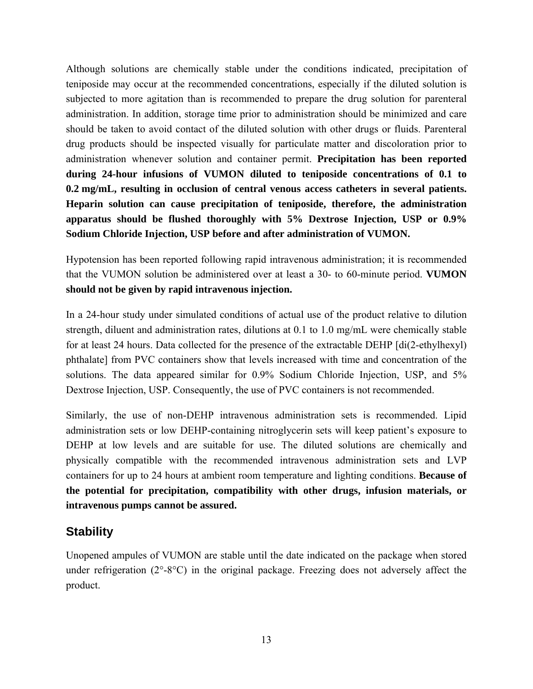Although solutions are chemically stable under the conditions indicated, precipitation of teniposide may occur at the recommended concentrations, especially if the diluted solution is subjected to more agitation than is recommended to prepare the drug solution for parenteral administration. In addition, storage time prior to administration should be minimized and care should be taken to avoid contact of the diluted solution with other drugs or fluids. Parenteral drug products should be inspected visually for particulate matter and discoloration prior to administration whenever solution and container permit. **Precipitation has been reported during 24-hour infusions of VUMON diluted to teniposide concentrations of 0.1 to 0.2 mg/mL, resulting in occlusion of central venous access catheters in several patients. Heparin solution can cause precipitation of teniposide, therefore, the administration apparatus should be flushed thoroughly with 5% Dextrose Injection, USP or 0.9% Sodium Chloride Injection, USP before and after administration of VUMON.**

Hypotension has been reported following rapid intravenous administration; it is recommended that the VUMON solution be administered over at least a 30- to 60-minute period. **VUMON should not be given by rapid intravenous injection.**

In a 24-hour study under simulated conditions of actual use of the product relative to dilution strength, diluent and administration rates, dilutions at 0.1 to 1.0 mg/mL were chemically stable for at least 24 hours. Data collected for the presence of the extractable DEHP [di(2-ethylhexyl) phthalate] from PVC containers show that levels increased with time and concentration of the solutions. The data appeared similar for 0.9% Sodium Chloride Injection, USP, and 5% Dextrose Injection, USP. Consequently, the use of PVC containers is not recommended.

Similarly, the use of non-DEHP intravenous administration sets is recommended. Lipid administration sets or low DEHP-containing nitroglycerin sets will keep patient's exposure to DEHP at low levels and are suitable for use. The diluted solutions are chemically and physically compatible with the recommended intravenous administration sets and LVP containers for up to 24 hours at ambient room temperature and lighting conditions. **Because of the potential for precipitation, compatibility with other drugs, infusion materials, or intravenous pumps cannot be assured.**

#### **Stability**

Unopened ampules of VUMON are stable until the date indicated on the package when stored under refrigeration (2°-8°C) in the original package. Freezing does not adversely affect the product.